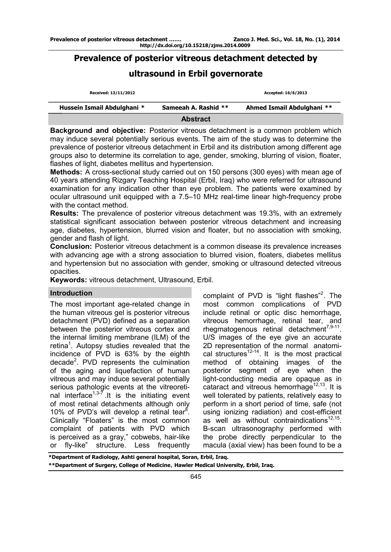## **Prevalence of posterior vitreous detachment detected by**

# **ultrasound in Erbil governorate**

| Received: 13/11/2012        |                      | Accepted: 16/6/2013        |
|-----------------------------|----------------------|----------------------------|
| Hussein Ismail Abdulghani * | Sameeah A. Rashid ** | Ahmed Ismail Abdulghani ** |
|                             | <b>Abstract</b>      |                            |

**Background and objective:** Posterior vitreous detachment is a common problem which may induce several potentially serious events. The aim of the study was to determine the prevalence of posterior vitreous detachment in Erbil and its distribution among different age groups also to determine its correlation to age, gender, smoking, blurring of vision, floater, flashes of light, diabetes mellitus and hypertension.

**Methods:** A cross-sectional study carried out on 150 persons (300 eyes) with mean age of 40 years attending Rizgary Teaching Hospital (Erbil, Iraq) who were referred for ultrasound examination for any indication other than eye problem. The patients were examined by ocular ultrasound unit equipped with a 7.5–10 MHz real-time linear high-frequency probe with the contact method.

**Results:** The prevalence of posterior vitreous detachment was 19.3%, with an extremely statistical significant association between posterior vitreous detachment and increasing age, diabetes, hypertension, blurred vision and floater, but no association with smoking, gender and flash of light.

**Conclusion:** Posterior vitreous detachment is a common disease its prevalence increases with advancing age with a strong association to blurred vision, floaters, diabetes mellitus and hypertension but no association with gender, smoking or ultrasound detected vitreous opacities.

**Keywords:** vitreous detachment, Ultrasound, Erbil.

### **Introduction**

The most important age-related change in the human vitreous gel is posterior vitreous detachment (PVD) defined as a separation between the posterior vitreous cortex and the internal limiting membrane (ILM) of the retina<sup>1</sup>. Autopsy studies revealed that the incidence of PVD is 63% by the eighth decade<sup>2</sup>. PVD represents the culmination of the aging and liquefaction of human vitreous and may induce several potentially serious pathologic events at the vitreoretinal interface<sup> $1,3-7$ </sup> It is the initiating event of most retinal detachments although only 10% of PVD's will develop a retinal tear<sup>8</sup>. Clinically "Floaters" is the most common complaint of patients with PVD which is perceived as a gray," cobwebs, hair-like or fly-like" structure. Less frequently

complaint of PVD is "light flashes"<sup>2</sup>. The most common complications of PVD include retinal or optic disc hemorrhage, vitreous hemorrhage, retinal tear, and rhegmatogenous retinal detachment<sup>7,9-11</sup>. U/S images of the eye give an accurate 2D representation of the normal anatomical structures $12-14$ . It is the most practical method of obtaining images of the posterior segment of eye when the light-conducting media are opaque as in cataract and vitreous hemorrhage<sup>12,13</sup>. It is well tolerated by patients, relatively easy to perform in a short period of time, safe (not using ionizing radiation) and cost-efficient as well as without contraindications $12,15$ . B-scan ultrasonography performed with the probe directly perpendicular to the macula (axial view) has been found to be a

**\*Department of Radiology, Ashti general hospital, Soran, Erbil, Iraq. \*\*Department of Surgery, College of Medicine**, **Hawler Medical University, Erbil, Iraq.**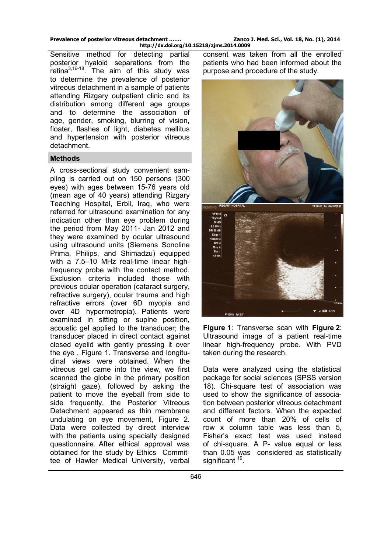Sensitive method for detecting partial posterior hyaloid separations from the retina3,16-<sup>18</sup>. The aim of this study was to determine the prevalence of posterior vitreous detachment in a sample of patients attending Rizgary outpatient clinic and its distribution among different age groups and to determine the association of age, gender, smoking, blurring of vision, floater, flashes of light, diabetes mellitus and hypertension with posterior vitreous detachment.

#### **Methods**

A cross-sectional study convenient sampling is carried out on 150 persons (300 eyes) with ages between 15-76 years old (mean age of 40 years) attending Rizgary Teaching Hospital, Erbil, Iraq, who were referred for ultrasound examination for any indication other than eye problem during the period from May 2011- Jan 2012 and they were examined by ocular ultrasound using ultrasound units (Siemens Sonoline Prima, Philips, and Shimadzu) equipped with a 7.5–10 MHz real-time linear highfrequency probe with the contact method. Exclusion criteria included those with previous ocular operation (cataract surgery, refractive surgery), ocular trauma and high refractive errors (over 6D myopia and over 4D hypermetropia). Patients were examined in sitting or supine position, acoustic gel applied to the transducer; the transducer placed in direct contact against closed eyelid with gently pressing it over the eye , Figure 1. Transverse and longitudinal views were obtained. When the vitreous gel came into the view, we first scanned the globe in the primary position (straight gaze), followed by asking the patient to move the eyeball from side to side frequently, the Posterior Vitreous Detachment appeared as thin membrane undulating on eye movement, Figure 2. Data were collected by direct interview with the patients using specially designed questionnaire. After ethical approval was obtained for the study by Ethics Committee of Hawler Medical University, verbal

consent was taken from all the enrolled patients who had been informed about the purpose and procedure of the study.



**Figure 1**: Transverse scan with **Figure 2**: Ultrasound image of a patient real-time linear high-frequency probe. With PVD taken during the research.

Data were analyzed using the statistical package for social sciences (SPSS version 18). Chi-square test of association was used to show the significance of association between posterior vitreous detachment and different factors. When the expected count of more than 20% of cells of row x column table was less than 5, Fisher's exact test was used instead of chi-square. A P- value equal or less than 0.05 was considered as statistically significant <sup>19</sup>.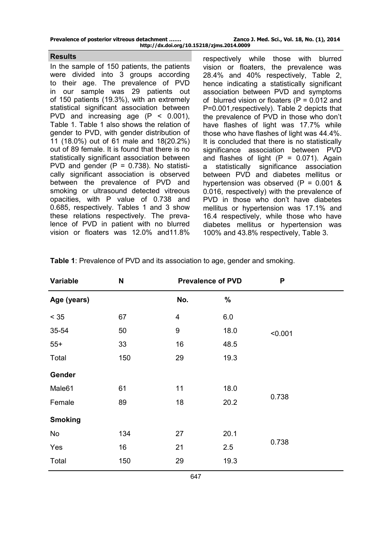| Prevalence of posterior vitreous detachment | Zanco J. Med. Sci., Vol. 18, No. (1), 2014 |  |
|---------------------------------------------|--------------------------------------------|--|
| http://dx.doi.org/10.15218/zjms.2014.0009   |                                            |  |

#### **Results**

In the sample of 150 patients, the patients were divided into 3 groups according to their age. The prevalence of PVD in our sample was 29 patients out of 150 patients (19.3%), with an extremely statistical significant association between PVD and increasing age  $(P < 0.001)$ , Table 1. Table 1 also shows the relation of gender to PVD, with gender distribution of 11 (18.0%) out of 61 male and 18(20.2%) out of 89 female. It is found that there is no statistically significant association between PVD and gender  $(P = 0.738)$ . No statistically significant association is observed between the prevalence of PVD and smoking or ultrasound detected vitreous opacities, with P value of 0.738 and 0.685, respectively. Tables 1 and 3 show these relations respectively. The prevalence of PVD in patient with no blurred vision or floaters was 12.0% and11.8%

respectively while those with blurred vision or floaters, the prevalence was 28.4% and 40% respectively, Table 2, hence indicating a statistically significant association between PVD and symptoms of blurred vision or floaters  $(P = 0.012$  and P=0.001,respectively). Table 2 depicts that the prevalence of PVD in those who don't have flashes of light was 17.7% while those who have flashes of light was 44.4%. It is concluded that there is no statistically significance association between PVD and flashes of light  $(P = 0.071)$ . Again a statistically significance association between PVD and diabetes mellitus or hypertension was observed  $(P = 0.001 \&$ 0.016, respectively) with the prevalence of PVD in those who don't have diabetes mellitus or hypertension was 17.1% and 16.4 respectively, while those who have diabetes mellitus or hypertension was 100% and 43.8% respectively, Table 3.

| Variable       | N   | <b>Prevalence of PVD</b> |      | P       |
|----------------|-----|--------------------------|------|---------|
| Age (years)    |     | No.                      | $\%$ |         |
| $< 35$         | 67  | 4                        | 6.0  |         |
| 35-54          | 50  | 9                        | 18.0 | < 0.001 |
| $55+$          | 33  | 16                       | 48.5 |         |
| Total          | 150 | 29                       | 19.3 |         |
| Gender         |     |                          |      |         |
| Male61         | 61  | 11                       | 18.0 | 0.738   |
| Female         | 89  | 18                       | 20.2 |         |
| <b>Smoking</b> |     |                          |      |         |
| No             | 134 | 27                       | 20.1 | 0.738   |
| Yes            | 16  | 21                       | 2.5  |         |
| Total          | 150 | 29                       | 19.3 |         |

**Table 1**: Prevalence of PVD and its association to age, gender and smoking.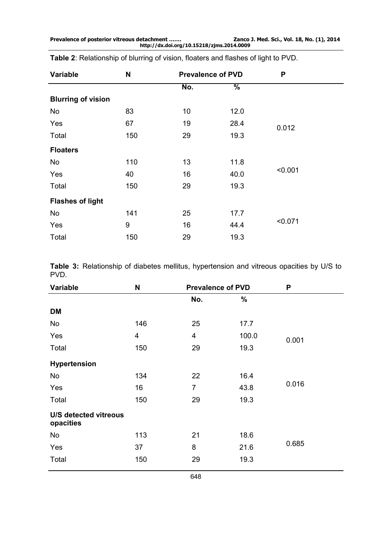| Variable                  | N   | <b>Prevalence of PVD</b> |               | P       |
|---------------------------|-----|--------------------------|---------------|---------|
|                           |     | No.                      | $\frac{9}{6}$ |         |
| <b>Blurring of vision</b> |     |                          |               |         |
| No                        | 83  | 10                       | 12.0          |         |
| Yes                       | 67  | 19                       | 28.4          | 0.012   |
| Total                     | 150 | 29                       | 19.3          |         |
| <b>Floaters</b>           |     |                          |               |         |
| No                        | 110 | 13                       | 11.8          | < 0.001 |
| Yes                       | 40  | 16                       | 40.0          |         |
| Total                     | 150 | 29                       | 19.3          |         |
| <b>Flashes of light</b>   |     |                          |               |         |
| No                        | 141 | 25                       | 17.7          | < 0.071 |
| Yes                       | 9   | 16                       | 44.4          |         |
| Total                     | 150 | 29                       | 19.3          |         |

**Table 2**: Relationship of blurring of vision, floaters and flashes of light to PVD.

**Table 3:** Relationship of diabetes mellitus, hypertension and vitreous opacities by U/S to PVD.

| Variable                           | N   | <b>Prevalence of PVD</b> |       | P     |
|------------------------------------|-----|--------------------------|-------|-------|
|                                    |     | No.                      | %     |       |
| <b>DM</b>                          |     |                          |       |       |
| No                                 | 146 | 25                       | 17.7  |       |
| Yes                                | 4   | $\overline{\mathbf{4}}$  | 100.0 | 0.001 |
| Total                              | 150 | 29                       | 19.3  |       |
| Hypertension                       |     |                          |       |       |
| No                                 | 134 | 22                       | 16.4  |       |
| Yes                                | 16  | $\overline{7}$           | 43.8  | 0.016 |
| Total                              | 150 | 29                       | 19.3  |       |
| U/S detected vitreous<br>opacities |     |                          |       |       |
| No                                 | 113 | 21                       | 18.6  |       |
| Yes                                | 37  | 8                        | 21.6  | 0.685 |
| Total                              | 150 | 29                       | 19.3  |       |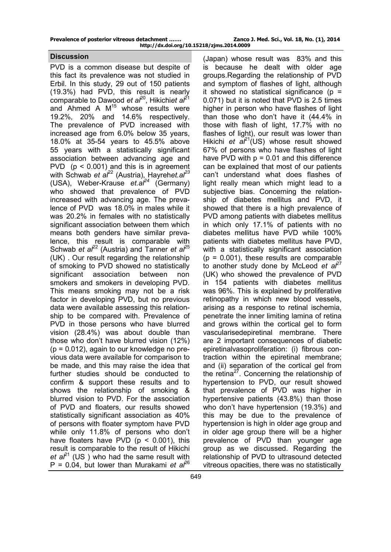| Prevalence of posterior vitreous detachment | Zanco J. Med. Sci., Vol. 18, No. (1), 2014 |  |
|---------------------------------------------|--------------------------------------------|--|
| http://dx.doi.org/10.15218/zjms.2014.0009   |                                            |  |

#### **Discussion**

PVD is a common disease but despite of this fact its prevalence was not studied in Erbil. In this study, 29 out of 150 patients (19.3%) had PVD, this result is nearly comparable to Dawood *et al*<sup>20</sup>, Hikichi*et al*<sup>21</sup> and Ahmed A  $M<sup>15</sup>$  whose results were 19.2%, 20% and 14.6% respectively. The prevalence of PVD increased with increased age from 6.0% below 35 years, 18.0% at 35-54 years to 45.5% above 55 years with a statistically significant association between advancing age and PVD  $(p < 0.001)$  and this is in agreement with Schwab *et al*<sup>22</sup> (Austria), Hayrehet.al<sup>23</sup> (USA), Weber-Krause *et.al<sup>24</sup>* (Germany) who showed that prevalence of PVD increased with advancing age. The prevalence of PVD was 18.0% in males while it was 20.2% in females with no statistically significant association between them which means both genders have similar prevalence, this result is comparable with Schwab *et al*<sup>22</sup> (Austria) and Tanner *et al*<sup>25</sup> (UK) . Our result regarding the relationship of smoking to PVD showed no statistically significant association between non smokers and smokers in developing PVD. This means smoking may not be a risk factor in developing PVD, but no previous data were available assessing this relationship to be compared with. Prevalence of PVD in those persons who have blurred vision (28.4%) was about double than those who don't have blurred vision (12%)  $(p = 0.012)$ , again to our knowledge no previous data were available for comparison to be made, and this may raise the idea that further studies should be conducted to confirm & support these results and to shows the relationship of smoking & blurred vision to PVD. For the association of PVD and floaters, our results showed statistically significant association as 40% of persons with floater symptom have PVD while only 11.8% of persons who don't have floaters have PVD ( $p < 0.001$ ), this result is comparable to the result of Hikichi *[et a](http://www.ncbi.nlm.nih.gov/pubmed?term=%22Hikichi%20T%22%5BAuthor%5D)* $l^{21}$  (US) who had the same result with  $P = 0.04$ , but lower than Murakami *et al*<sup>26</sup>

(Japan) whose result was 83% and this is because he dealt with older age groups.Regarding the relationship of PVD and symptom of flashes of light, although it showed no statistical significance ( $p =$ 0.071) but it is noted that PVD is 2.5 times higher in person who have flashes of light than those who don't have it (44.4% in those with flash of light, 17.7% with no flashes of light), our result was lower than Hikichi *et al*<sup>21</sup>(US) whose result showed 67% of persons who have flashes of light have PVD with  $p = 0.01$  and this difference can be explained that most of our patients can't understand what does flashes of light really mean which might lead to a subjective bias. Concerning the relationship of diabetes mellitus and PVD, it showed that there is a high prevalence of PVD among patients with diabetes mellitus in which only 17.1% of patients with no diabetes mellitus have PVD while 100% patients with diabetes mellitus have PVD, with a statistically significant association  $(p = 0.001)$ , these results are comparable to another study done by McLeod *et al<sup>27</sup>* (UK) who showed the prevalence of PVD in 154 patients with diabetes mellitus was 96%. This is explained by proliferative retinopathy in which new blood vessels, arising as a response to retinal ischemia, penetrate the inner limiting lamina of retina and grows within the cortical gel to form vascularisedepiretinal membrane. There are 2 important consequences of diabetic epiretinalvasoproliferation: (i) fibrous contraction within the epiretinal membrane; and (ii) separation of the cortical gel from the retina $27$ . Concerning the relationship of hypertension to PVD, our result showed that prevalence of PVD was higher in hypertensive patients (43.8%) than those who don't have hypertension (19.3%) and this may be due to the prevalence of hypertension is high in older age group and in older age group there will be a higher prevalence of PVD than younger age group as we discussed. Regarding the relationship of PVD to ultrasound detected vitreous opacities, there was no statistically